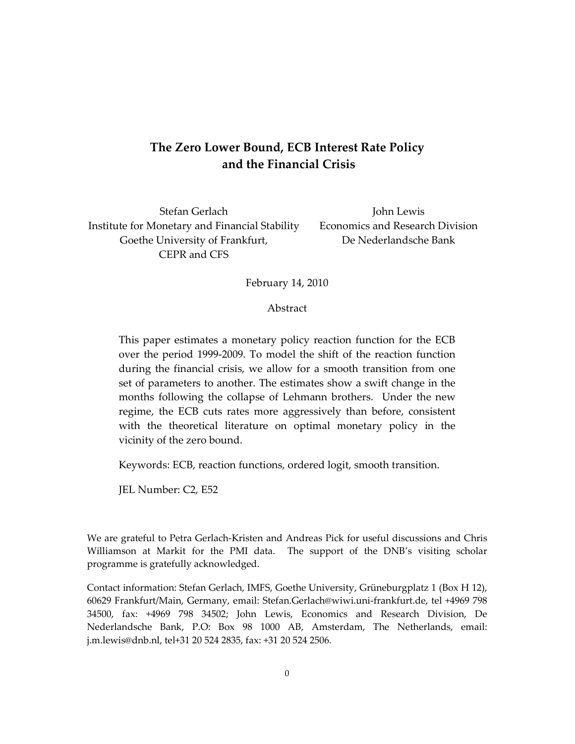## **The Zero Lower Bound, ECB Interest Rate Policy and the Financial Crisis**

Stefan Gerlach Institute for Monetary and Financial Stability Goethe University of Frankfurt, CEPR and CFS

John Lewis Economics and Research Division De Nederlandsche Bank

February 14, 2010

Abstract

This paper estimates a monetary policy reaction function for the ECB over the period 1999-2009. To model the shift of the reaction function during the financial crisis, we allow for a smooth transition from one set of parameters to another. The estimates show a swift change in the months following the collapse of Lehmann brothers. Under the new regime, the ECB cuts rates more aggressively than before, consistent with the theoretical literature on optimal monetary policy in the vicinity of the zero bound.

Keywords: ECB, reaction functions, ordered logit, smooth transition.

JEL Number: C2, E52

We are grateful to Petra Gerlach-Kristen and Andreas Pick for useful discussions and Chris Williamson at Markit for the PMI data. The support of the DNB's visiting scholar programme is gratefully acknowledged.

Contact information: Stefan Gerlach, IMFS, Goethe University, Grüneburgplatz 1 (Box H 12), 60629 Frankfurt/Main, Germany, email: Stefan.Gerlach@wiwi.uni-frankfurt.de, tel +4969 798 34500, fax: +4969 798 34502; John Lewis, Economics and Research Division, De Nederlandsche Bank, P.O: Box 98 1000 AB, Amsterdam, The Netherlands, email: j.m.lewis@dnb.nl, tel+31 20 524 2835, fax: +31 20 524 2506.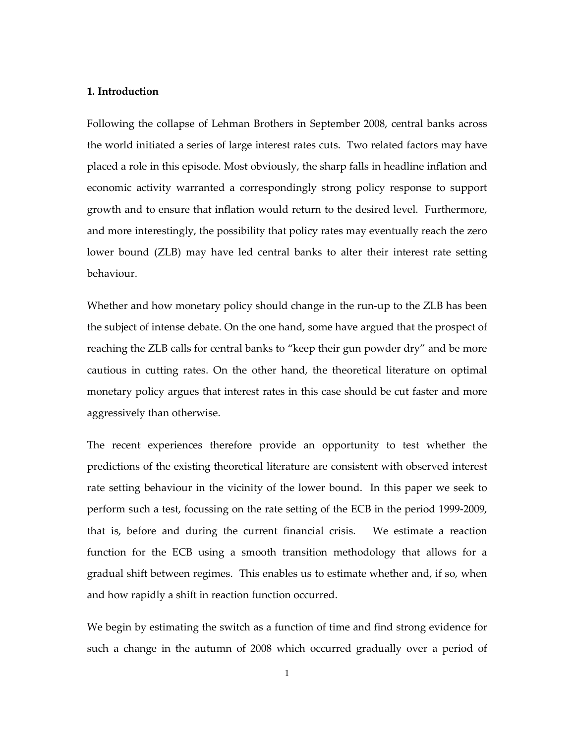## **1. Introduction**

Following the collapse of Lehman Brothers in September 2008, central banks across the world initiated a series of large interest rates cuts. Two related factors may have placed a role in this episode. Most obviously, the sharp falls in headline inflation and economic activity warranted a correspondingly strong policy response to support growth and to ensure that inflation would return to the desired level. Furthermore, and more interestingly, the possibility that policy rates may eventually reach the zero lower bound (ZLB) may have led central banks to alter their interest rate setting behaviour.

Whether and how monetary policy should change in the run-up to the ZLB has been the subject of intense debate. On the one hand, some have argued that the prospect of reaching the ZLB calls for central banks to "keep their gun powder dry" and be more cautious in cutting rates. On the other hand, the theoretical literature on optimal monetary policy argues that interest rates in this case should be cut faster and more aggressively than otherwise.

The recent experiences therefore provide an opportunity to test whether the predictions of the existing theoretical literature are consistent with observed interest rate setting behaviour in the vicinity of the lower bound. In this paper we seek to perform such a test, focussing on the rate setting of the ECB in the period 1999-2009, that is, before and during the current financial crisis. We estimate a reaction function for the ECB using a smooth transition methodology that allows for a gradual shift between regimes. This enables us to estimate whether and, if so, when and how rapidly a shift in reaction function occurred.

We begin by estimating the switch as a function of time and find strong evidence for such a change in the autumn of 2008 which occurred gradually over a period of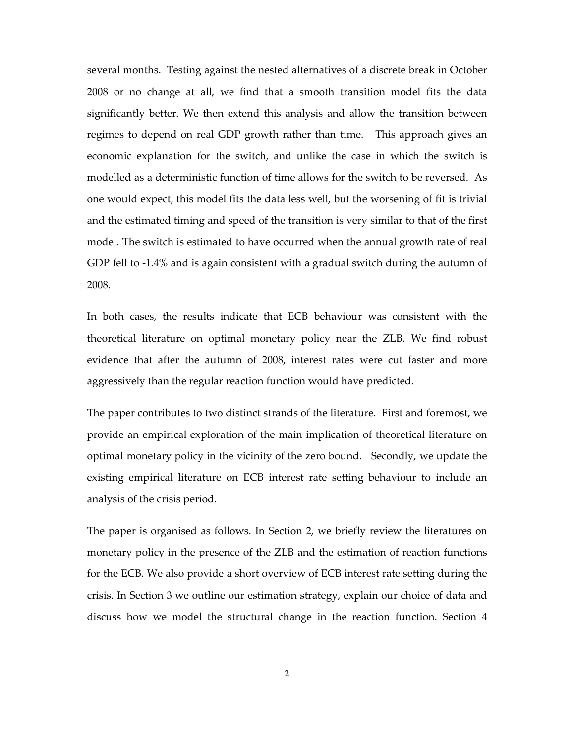several months. Testing against the nested alternatives of a discrete break in October 2008 or no change at all, we find that a smooth transition model fits the data significantly better. We then extend this analysis and allow the transition between regimes to depend on real GDP growth rather than time. This approach gives an economic explanation for the switch, and unlike the case in which the switch is modelled as a deterministic function of time allows for the switch to be reversed. As one would expect, this model fits the data less well, but the worsening of fit is trivial and the estimated timing and speed of the transition is very similar to that of the first model. The switch is estimated to have occurred when the annual growth rate of real GDP fell to -1.4% and is again consistent with a gradual switch during the autumn of 2008.

In both cases, the results indicate that ECB behaviour was consistent with the theoretical literature on optimal monetary policy near the ZLB. We find robust evidence that after the autumn of 2008, interest rates were cut faster and more aggressively than the regular reaction function would have predicted.

The paper contributes to two distinct strands of the literature. First and foremost, we provide an empirical exploration of the main implication of theoretical literature on optimal monetary policy in the vicinity of the zero bound. Secondly, we update the existing empirical literature on ECB interest rate setting behaviour to include an analysis of the crisis period.

The paper is organised as follows. In Section 2, we briefly review the literatures on monetary policy in the presence of the ZLB and the estimation of reaction functions for the ECB. We also provide a short overview of ECB interest rate setting during the crisis. In Section 3 we outline our estimation strategy, explain our choice of data and discuss how we model the structural change in the reaction function. Section 4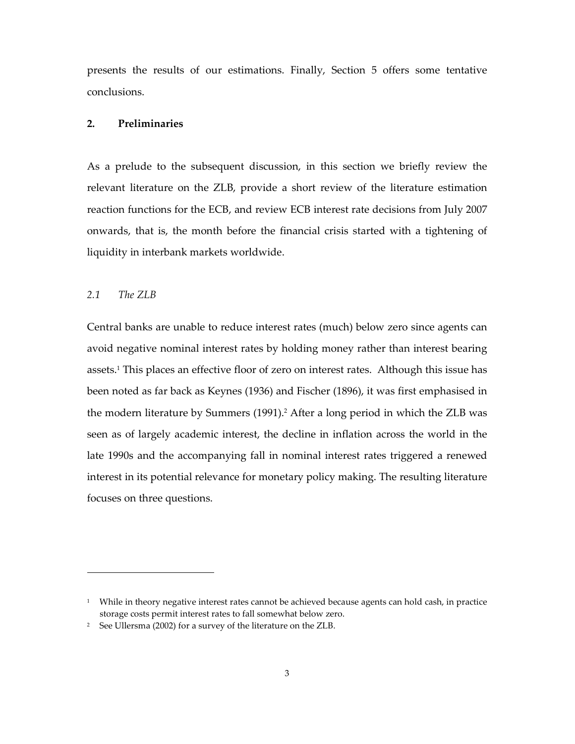presents the results of our estimations. Finally, Section 5 offers some tentative conclusions.

## **2. Preliminaries**

As a prelude to the subsequent discussion, in this section we briefly review the relevant literature on the ZLB, provide a short review of the literature estimation reaction functions for the ECB, and review ECB interest rate decisions from July 2007 onwards, that is, the month before the financial crisis started with a tightening of liquidity in interbank markets worldwide.

## *2.1 The ZLB*

 $\overline{a}$ 

Central banks are unable to reduce interest rates (much) below zero since agents can avoid negative nominal interest rates by holding money rather than interest bearing assets.<sup>1</sup> This places an effective floor of zero on interest rates. Although this issue has been noted as far back as Keynes (1936) and Fischer (1896), it was first emphasised in the modern literature by Summers (1991).<sup>2</sup> After a long period in which the ZLB was seen as of largely academic interest, the decline in inflation across the world in the late 1990s and the accompanying fall in nominal interest rates triggered a renewed interest in its potential relevance for monetary policy making. The resulting literature focuses on three questions.

 $^{\rm 1}$  While in theory negative interest rates cannot be achieved because agents can hold cash, in practice storage costs permit interest rates to fall somewhat below zero.

<sup>2</sup> See Ullersma (2002) for a survey of the literature on the ZLB.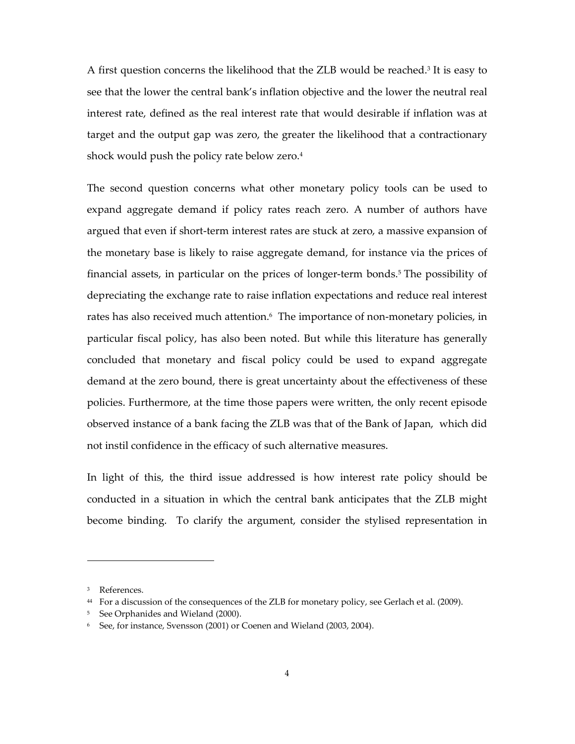A first question concerns the likelihood that the ZLB would be reached.<sup>3</sup> It is easy to see that the lower the central bank's inflation objective and the lower the neutral real interest rate, defined as the real interest rate that would desirable if inflation was at target and the output gap was zero, the greater the likelihood that a contractionary shock would push the policy rate below zero.<sup>4</sup>

The second question concerns what other monetary policy tools can be used to expand aggregate demand if policy rates reach zero. A number of authors have argued that even if short-term interest rates are stuck at zero, a massive expansion of the monetary base is likely to raise aggregate demand, for instance via the prices of financial assets, in particular on the prices of longer-term bonds.<sup>5</sup> The possibility of depreciating the exchange rate to raise inflation expectations and reduce real interest rates has also received much attention.<sup>6</sup> The importance of non-monetary policies, in particular fiscal policy, has also been noted. But while this literature has generally concluded that monetary and fiscal policy could be used to expand aggregate demand at the zero bound, there is great uncertainty about the effectiveness of these policies. Furthermore, at the time those papers were written, the only recent episode observed instance of a bank facing the ZLB was that of the Bank of Japan, which did not instil confidence in the efficacy of such alternative measures.

In light of this, the third issue addressed is how interest rate policy should be conducted in a situation in which the central bank anticipates that the ZLB might become binding. To clarify the argument, consider the stylised representation in

 $\ddot{\phantom{a}}$ 

<sup>3</sup> References.

<sup>44</sup> For a discussion of the consequences of the ZLB for monetary policy, see Gerlach et al. (2009).

<sup>5</sup> See Orphanides and Wieland (2000).

<sup>6</sup> See, for instance, Svensson (2001) or Coenen and Wieland (2003, 2004).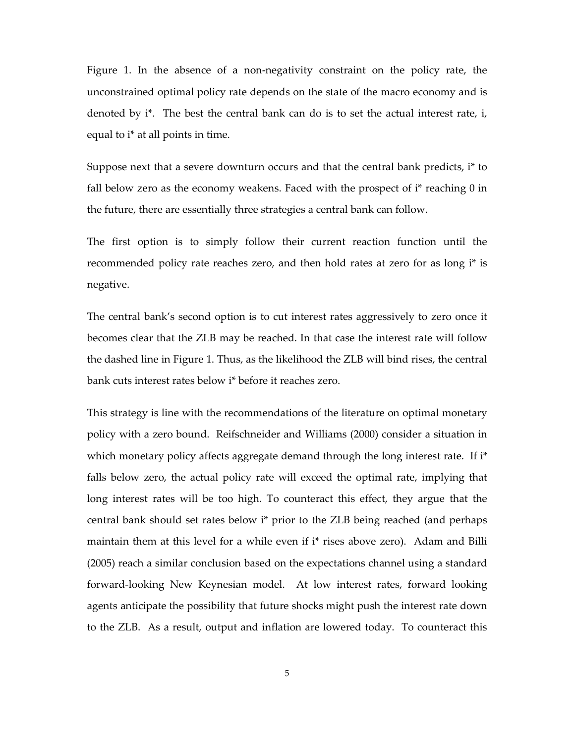Figure 1. In the absence of a non-negativity constraint on the policy rate, the unconstrained optimal policy rate depends on the state of the macro economy and is denoted by i\*. The best the central bank can do is to set the actual interest rate, i, equal to i\* at all points in time.

Suppose next that a severe downturn occurs and that the central bank predicts, i\* to fall below zero as the economy weakens. Faced with the prospect of  $i^*$  reaching 0 in the future, there are essentially three strategies a central bank can follow.

The first option is to simply follow their current reaction function until the recommended policy rate reaches zero, and then hold rates at zero for as long i\* is negative.

The central bank's second option is to cut interest rates aggressively to zero once it becomes clear that the ZLB may be reached. In that case the interest rate will follow the dashed line in Figure 1. Thus, as the likelihood the ZLB will bind rises, the central bank cuts interest rates below i\* before it reaches zero.

This strategy is line with the recommendations of the literature on optimal monetary policy with a zero bound. Reifschneider and Williams (2000) consider a situation in which monetary policy affects aggregate demand through the long interest rate. If i<sup>\*</sup> falls below zero, the actual policy rate will exceed the optimal rate, implying that long interest rates will be too high. To counteract this effect, they argue that the central bank should set rates below i\* prior to the ZLB being reached (and perhaps maintain them at this level for a while even if i\* rises above zero). Adam and Billi (2005) reach a similar conclusion based on the expectations channel using a standard forward-looking New Keynesian model. At low interest rates, forward looking agents anticipate the possibility that future shocks might push the interest rate down to the ZLB. As a result, output and inflation are lowered today. To counteract this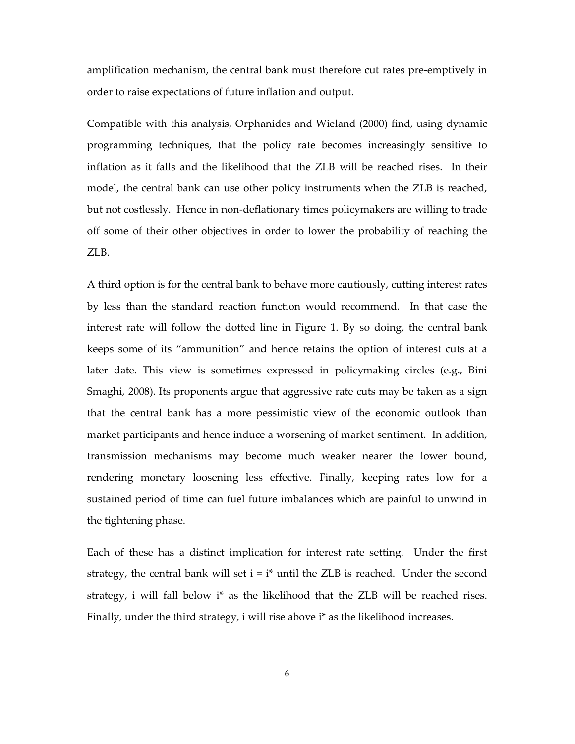amplification mechanism, the central bank must therefore cut rates pre-emptively in order to raise expectations of future inflation and output.

Compatible with this analysis, Orphanides and Wieland (2000) find, using dynamic programming techniques, that the policy rate becomes increasingly sensitive to inflation as it falls and the likelihood that the ZLB will be reached rises. In their model, the central bank can use other policy instruments when the ZLB is reached, but not costlessly. Hence in non-deflationary times policymakers are willing to trade off some of their other objectives in order to lower the probability of reaching the ZLB.

A third option is for the central bank to behave more cautiously, cutting interest rates by less than the standard reaction function would recommend. In that case the interest rate will follow the dotted line in Figure 1. By so doing, the central bank keeps some of its "ammunition" and hence retains the option of interest cuts at a later date. This view is sometimes expressed in policymaking circles (e.g., Bini Smaghi, 2008). Its proponents argue that aggressive rate cuts may be taken as a sign that the central bank has a more pessimistic view of the economic outlook than market participants and hence induce a worsening of market sentiment. In addition, transmission mechanisms may become much weaker nearer the lower bound, rendering monetary loosening less effective. Finally, keeping rates low for a sustained period of time can fuel future imbalances which are painful to unwind in the tightening phase.

Each of these has a distinct implication for interest rate setting. Under the first strategy, the central bank will set  $i = i^*$  until the ZLB is reached. Under the second strategy, i will fall below i\* as the likelihood that the ZLB will be reached rises. Finally, under the third strategy, i will rise above i\* as the likelihood increases.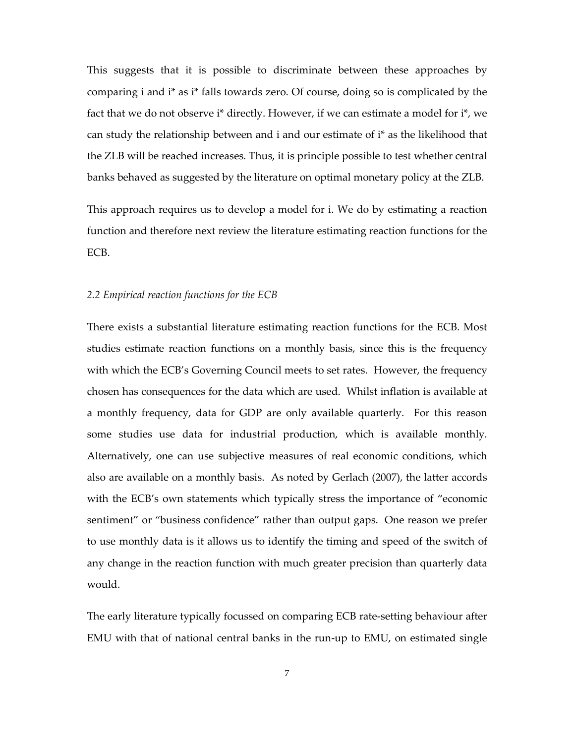This suggests that it is possible to discriminate between these approaches by comparing i and i\* as i\* falls towards zero. Of course, doing so is complicated by the fact that we do not observe i\* directly. However, if we can estimate a model for i\*, we can study the relationship between and i and our estimate of i\* as the likelihood that the ZLB will be reached increases. Thus, it is principle possible to test whether central banks behaved as suggested by the literature on optimal monetary policy at the ZLB.

This approach requires us to develop a model for i. We do by estimating a reaction function and therefore next review the literature estimating reaction functions for the ECB.

#### *2.2 Empirical reaction functions for the ECB*

There exists a substantial literature estimating reaction functions for the ECB. Most studies estimate reaction functions on a monthly basis, since this is the frequency with which the ECB's Governing Council meets to set rates. However, the frequency chosen has consequences for the data which are used. Whilst inflation is available at a monthly frequency, data for GDP are only available quarterly. For this reason some studies use data for industrial production, which is available monthly. Alternatively, one can use subjective measures of real economic conditions, which also are available on a monthly basis. As noted by Gerlach (2007), the latter accords with the ECB's own statements which typically stress the importance of "economic sentiment" or "business confidence" rather than output gaps. One reason we prefer to use monthly data is it allows us to identify the timing and speed of the switch of any change in the reaction function with much greater precision than quarterly data would.

The early literature typically focussed on comparing ECB rate-setting behaviour after EMU with that of national central banks in the run-up to EMU, on estimated single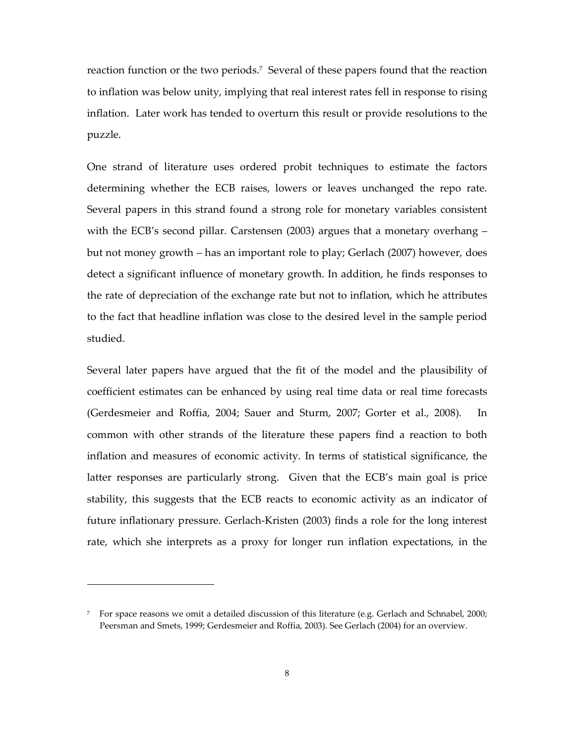reaction function or the two periods.<sup>7</sup> Several of these papers found that the reaction to inflation was below unity, implying that real interest rates fell in response to rising inflation. Later work has tended to overturn this result or provide resolutions to the puzzle.

One strand of literature uses ordered probit techniques to estimate the factors determining whether the ECB raises, lowers or leaves unchanged the repo rate. Several papers in this strand found a strong role for monetary variables consistent with the ECB's second pillar. Carstensen (2003) argues that a monetary overhang – but not money growth – has an important role to play; Gerlach (2007) however, does detect a significant influence of monetary growth. In addition, he finds responses to the rate of depreciation of the exchange rate but not to inflation, which he attributes to the fact that headline inflation was close to the desired level in the sample period studied.

Several later papers have argued that the fit of the model and the plausibility of coefficient estimates can be enhanced by using real time data or real time forecasts (Gerdesmeier and Roffia, 2004; Sauer and Sturm, 2007; Gorter et al., 2008). In common with other strands of the literature these papers find a reaction to both inflation and measures of economic activity. In terms of statistical significance, the latter responses are particularly strong. Given that the ECB's main goal is price stability, this suggests that the ECB reacts to economic activity as an indicator of future inflationary pressure. Gerlach-Kristen (2003) finds a role for the long interest rate, which she interprets as a proxy for longer run inflation expectations, in the

<sup>7</sup> For space reasons we omit a detailed discussion of this literature (e.g. Gerlach and Schnabel, 2000; Peersman and Smets, 1999; Gerdesmeier and Roffia, 2003). See Gerlach (2004) for an overview.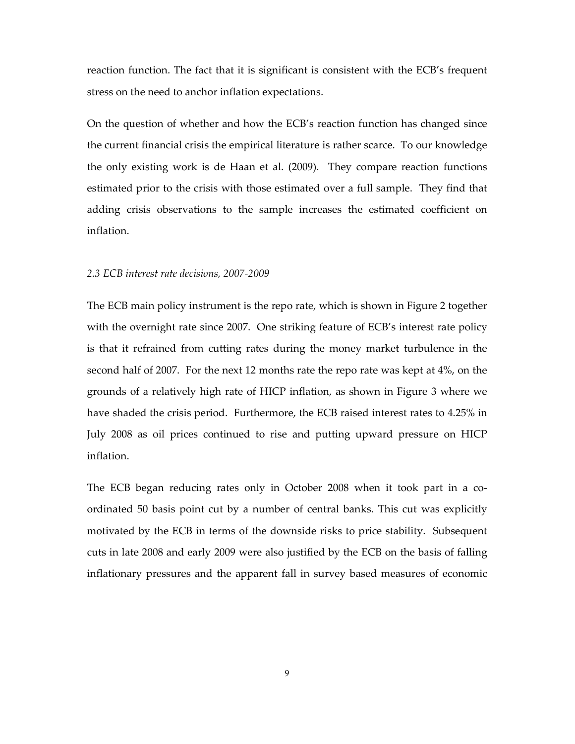reaction function. The fact that it is significant is consistent with the ECB's frequent stress on the need to anchor inflation expectations.

On the question of whether and how the ECB's reaction function has changed since the current financial crisis the empirical literature is rather scarce. To our knowledge the only existing work is de Haan et al. (2009). They compare reaction functions estimated prior to the crisis with those estimated over a full sample. They find that adding crisis observations to the sample increases the estimated coefficient on inflation.

#### *2.3 ECB interest rate decisions, 2007-2009*

The ECB main policy instrument is the repo rate, which is shown in Figure 2 together with the overnight rate since 2007. One striking feature of ECB's interest rate policy is that it refrained from cutting rates during the money market turbulence in the second half of 2007. For the next 12 months rate the repo rate was kept at 4%, on the grounds of a relatively high rate of HICP inflation, as shown in Figure 3 where we have shaded the crisis period. Furthermore, the ECB raised interest rates to 4.25% in July 2008 as oil prices continued to rise and putting upward pressure on HICP inflation.

The ECB began reducing rates only in October 2008 when it took part in a coordinated 50 basis point cut by a number of central banks. This cut was explicitly motivated by the ECB in terms of the downside risks to price stability. Subsequent cuts in late 2008 and early 2009 were also justified by the ECB on the basis of falling inflationary pressures and the apparent fall in survey based measures of economic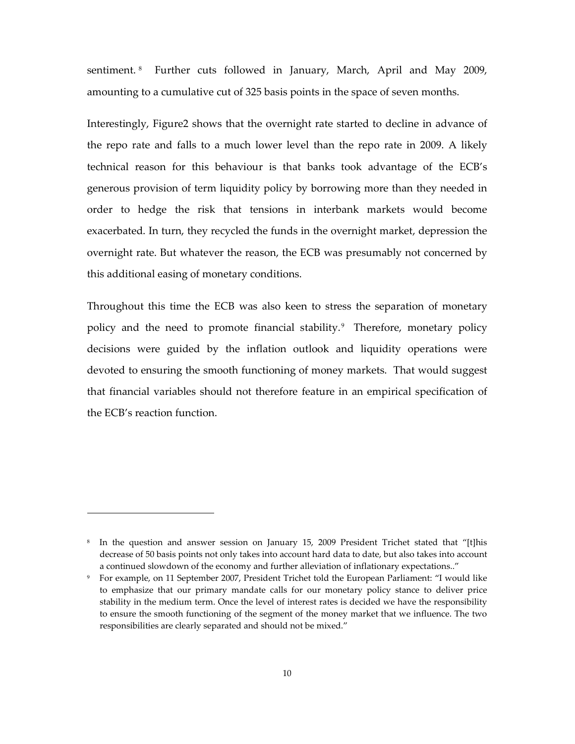sentiment. <sup>8</sup> Further cuts followed in January, March, April and May 2009, amounting to a cumulative cut of 325 basis points in the space of seven months.

Interestingly, Figure2 shows that the overnight rate started to decline in advance of the repo rate and falls to a much lower level than the repo rate in 2009. A likely technical reason for this behaviour is that banks took advantage of the ECB's generous provision of term liquidity policy by borrowing more than they needed in order to hedge the risk that tensions in interbank markets would become exacerbated. In turn, they recycled the funds in the overnight market, depression the overnight rate. But whatever the reason, the ECB was presumably not concerned by this additional easing of monetary conditions.

Throughout this time the ECB was also keen to stress the separation of monetary policy and the need to promote financial stability.<sup>9</sup> Therefore, monetary policy decisions were guided by the inflation outlook and liquidity operations were devoted to ensuring the smooth functioning of money markets. That would suggest that financial variables should not therefore feature in an empirical specification of the ECB's reaction function.

<sup>8</sup> In the question and answer session on January 15, 2009 President Trichet stated that "[t]his decrease of 50 basis points not only takes into account hard data to date, but also takes into account a continued slowdown of the economy and further alleviation of inflationary expectations.."

<sup>9</sup> For example, on 11 September 2007, President Trichet told the European Parliament: "I would like to emphasize that our primary mandate calls for our monetary policy stance to deliver price stability in the medium term. Once the level of interest rates is decided we have the responsibility to ensure the smooth functioning of the segment of the money market that we influence. The two responsibilities are clearly separated and should not be mixed."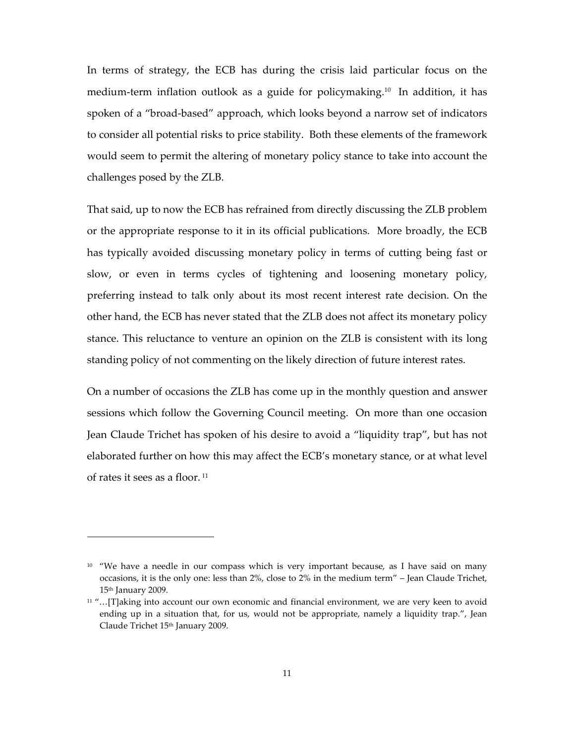In terms of strategy, the ECB has during the crisis laid particular focus on the medium-term inflation outlook as a guide for policymaking.10 In addition, it has spoken of a "broad-based" approach, which looks beyond a narrow set of indicators to consider all potential risks to price stability. Both these elements of the framework would seem to permit the altering of monetary policy stance to take into account the challenges posed by the ZLB.

That said, up to now the ECB has refrained from directly discussing the ZLB problem or the appropriate response to it in its official publications. More broadly, the ECB has typically avoided discussing monetary policy in terms of cutting being fast or slow, or even in terms cycles of tightening and loosening monetary policy, preferring instead to talk only about its most recent interest rate decision. On the other hand, the ECB has never stated that the ZLB does not affect its monetary policy stance. This reluctance to venture an opinion on the ZLB is consistent with its long standing policy of not commenting on the likely direction of future interest rates.

On a number of occasions the ZLB has come up in the monthly question and answer sessions which follow the Governing Council meeting. On more than one occasion Jean Claude Trichet has spoken of his desire to avoid a "liquidity trap", but has not elaborated further on how this may affect the ECB's monetary stance, or at what level of rates it sees as a floor.<sup>11</sup>

 $10$  "We have a needle in our compass which is very important because, as I have said on many occasions, it is the only one: less than 2%, close to 2% in the medium term" – Jean Claude Trichet, 15th January 2009.

<sup>11</sup> "…[T]aking into account our own economic and financial environment, we are very keen to avoid ending up in a situation that, for us, would not be appropriate, namely a liquidity trap.", Jean Claude Trichet 15<sup>th</sup> January 2009.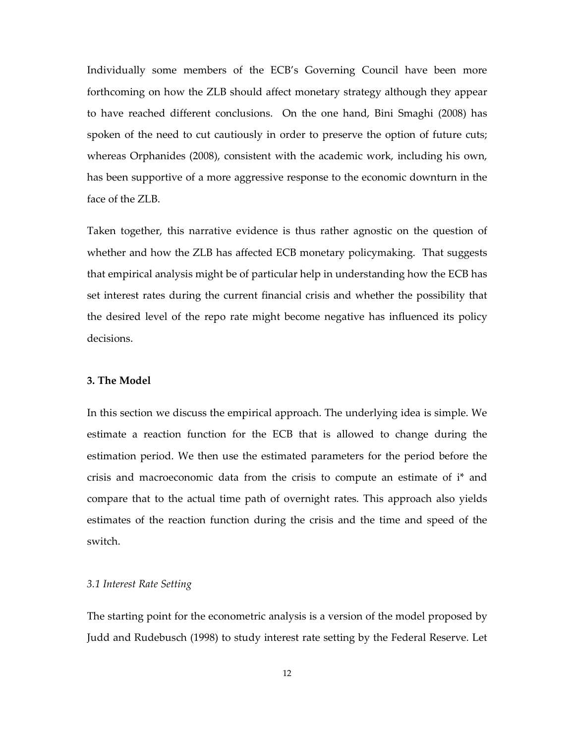Individually some members of the ECB's Governing Council have been more forthcoming on how the ZLB should affect monetary strategy although they appear to have reached different conclusions. On the one hand, Bini Smaghi (2008) has spoken of the need to cut cautiously in order to preserve the option of future cuts; whereas Orphanides (2008), consistent with the academic work, including his own, has been supportive of a more aggressive response to the economic downturn in the face of the ZLB.

Taken together, this narrative evidence is thus rather agnostic on the question of whether and how the ZLB has affected ECB monetary policymaking. That suggests that empirical analysis might be of particular help in understanding how the ECB has set interest rates during the current financial crisis and whether the possibility that the desired level of the repo rate might become negative has influenced its policy decisions.

### **3. The Model**

In this section we discuss the empirical approach. The underlying idea is simple. We estimate a reaction function for the ECB that is allowed to change during the estimation period. We then use the estimated parameters for the period before the crisis and macroeconomic data from the crisis to compute an estimate of i\* and compare that to the actual time path of overnight rates. This approach also yields estimates of the reaction function during the crisis and the time and speed of the switch.

## *3.1 Interest Rate Setting*

The starting point for the econometric analysis is a version of the model proposed by Judd and Rudebusch (1998) to study interest rate setting by the Federal Reserve. Let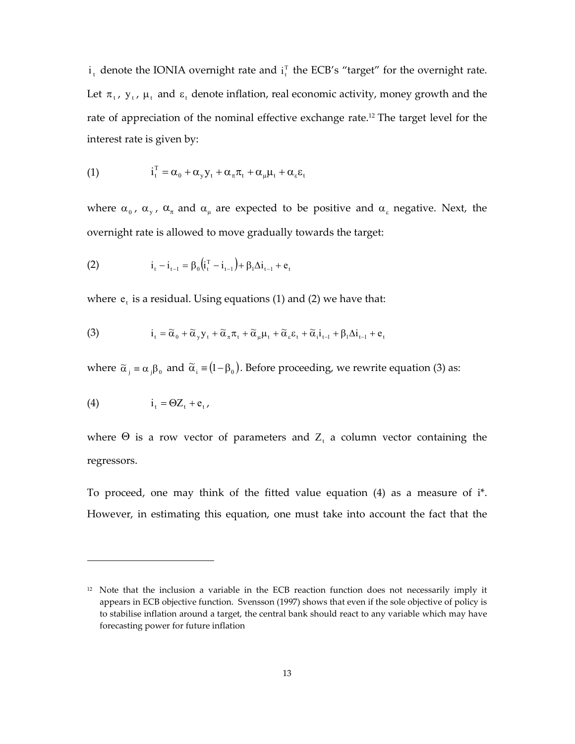$i_t$  denote the IONIA overnight rate and  $i_t^T$  the ECB's "target" for the overnight rate. Let  $\pi_t$ ,  $y_t$ ,  $\mu_t$  and  $\varepsilon_t$  denote inflation, real economic activity, money growth and the rate of appreciation of the nominal effective exchange rate.<sup>12</sup> The target level for the interest rate is given by:

(1) 
$$
i_t^T = \alpha_0 + \alpha_y y_t + \alpha_\pi \pi_t + \alpha_\mu \mu_t + \alpha_\varepsilon \varepsilon_t
$$

where  $\alpha_0$ ,  $\alpha_y$ ,  $\alpha_\pi$  and  $\alpha_\mu$  are expected to be positive and  $\alpha_\varepsilon$  negative. Next, the overnight rate is allowed to move gradually towards the target:

(2) 
$$
i_{t} - i_{t-1} = \beta_{0} (i_{t}^{T} - i_{t-1}) + \beta_{1} \Delta i_{t-1} + e_{t}
$$

where  $e_t$  is a residual. Using equations (1) and (2) we have that:

(3) 
$$
i_t = \widetilde{\alpha}_0 + \widetilde{\alpha}_y y_t + \widetilde{\alpha}_\pi \pi_t + \widetilde{\alpha}_\mu \mu_t + \widetilde{\alpha}_\varepsilon \varepsilon_t + \widetilde{\alpha}_i i_{t-1} + \beta_1 \Delta i_{t-1} + e_t
$$

where  $\tilde{\alpha}_j = \alpha_j \beta_0$  and  $\tilde{\alpha}_i = (1 - \beta_0)$ . Before proceeding, we rewrite equation (3) as:

$$
(4) \qquad \qquad i_t = \Theta Z_t + e_t,
$$

 $\ddot{\phantom{a}}$ 

where  $\Theta$  is a row vector of parameters and  $Z_t$  a column vector containing the regressors.

To proceed, one may think of the fitted value equation (4) as a measure of i\*. However, in estimating this equation, one must take into account the fact that the

<sup>&</sup>lt;sup>12</sup> Note that the inclusion a variable in the ECB reaction function does not necessarily imply it appears in ECB objective function. Svensson (1997) shows that even if the sole objective of policy is to stabilise inflation around a target, the central bank should react to any variable which may have forecasting power for future inflation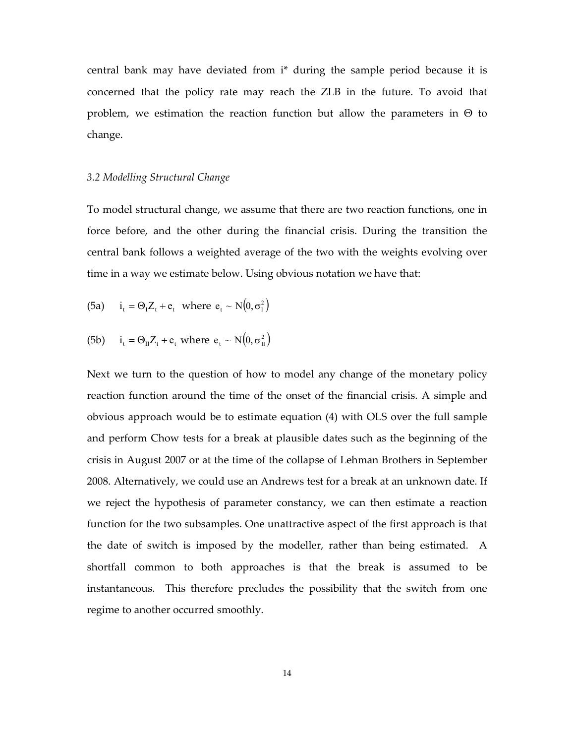central bank may have deviated from i\* during the sample period because it is concerned that the policy rate may reach the ZLB in the future. To avoid that problem, we estimation the reaction function but allow the parameters in  $\Theta$  to change.

## *3.2 Modelling Structural Change*

To model structural change, we assume that there are two reaction functions, one in force before, and the other during the financial crisis. During the transition the central bank follows a weighted average of the two with the weights evolving over time in a way we estimate below. Using obvious notation we have that:

(5a) 
$$
i_t = \Theta_1 Z_t + e_t
$$
 where  $e_t \sim N(0, \sigma_1^2)$ 

(5b) 
$$
i_t = \Theta_{II} Z_t + e_t
$$
 where  $e_t \sim N(0, \sigma_{II}^2)$ 

Next we turn to the question of how to model any change of the monetary policy reaction function around the time of the onset of the financial crisis. A simple and obvious approach would be to estimate equation (4) with OLS over the full sample and perform Chow tests for a break at plausible dates such as the beginning of the crisis in August 2007 or at the time of the collapse of Lehman Brothers in September 2008. Alternatively, we could use an Andrews test for a break at an unknown date. If we reject the hypothesis of parameter constancy, we can then estimate a reaction function for the two subsamples. One unattractive aspect of the first approach is that the date of switch is imposed by the modeller, rather than being estimated. A shortfall common to both approaches is that the break is assumed to be instantaneous. This therefore precludes the possibility that the switch from one regime to another occurred smoothly.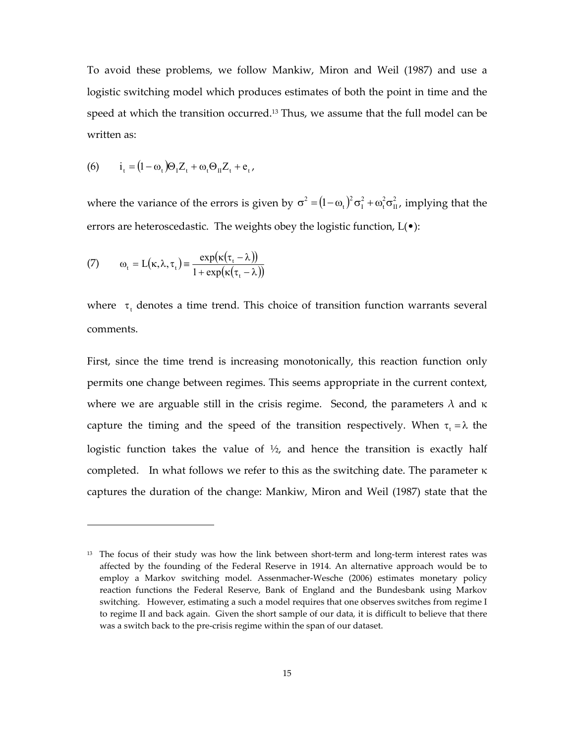To avoid these problems, we follow Mankiw, Miron and Weil (1987) and use a logistic switching model which produces estimates of both the point in time and the speed at which the transition occurred.13 Thus, we assume that the full model can be written as:

$$
(6) \qquad i_t = (1 - \omega_t) \Theta_{\mathrm{I}} Z_t + \omega_t \Theta_{\mathrm{II}} Z_t + e_t,
$$

where the variance of the errors is given by  $\sigma^2 = (1 - \omega_t)^2 \sigma_1^2 + \omega_t^2 \sigma_1^2$ II 2 t 2 I 2 t  $\sigma^2 = (1 - \omega_t)^2 \sigma_1^2 + \omega_t^2 \sigma_{II}^2$ , implying that the errors are heteroscedastic. The weights obey the logistic function, L(•):

(7) 
$$
\omega_{t} = L(\kappa, \lambda, \tau_{t}) \equiv \frac{\exp(\kappa(\tau_{t} - \lambda))}{1 + \exp(\kappa(\tau_{t} - \lambda))}
$$

 $\overline{a}$ 

where  $\tau_t$  denotes a time trend. This choice of transition function warrants several comments.

First, since the time trend is increasing monotonically, this reaction function only permits one change between regimes. This seems appropriate in the current context, where we are arguable still in the crisis regime. Second, the parameters  $\lambda$  and  $\kappa$ capture the timing and the speed of the transition respectively. When  $\tau_t = \lambda$  the logistic function takes the value of  $\frac{1}{2}$ , and hence the transition is exactly half completed. In what follows we refer to this as the switching date. The parameter  $\kappa$ captures the duration of the change: Mankiw, Miron and Weil (1987) state that the

<sup>&</sup>lt;sup>13</sup> The focus of their study was how the link between short-term and long-term interest rates was affected by the founding of the Federal Reserve in 1914. An alternative approach would be to employ a Markov switching model. Assenmacher-Wesche (2006) estimates monetary policy reaction functions the Federal Reserve, Bank of England and the Bundesbank using Markov switching. However, estimating a such a model requires that one observes switches from regime I to regime II and back again. Given the short sample of our data, it is difficult to believe that there was a switch back to the pre-crisis regime within the span of our dataset.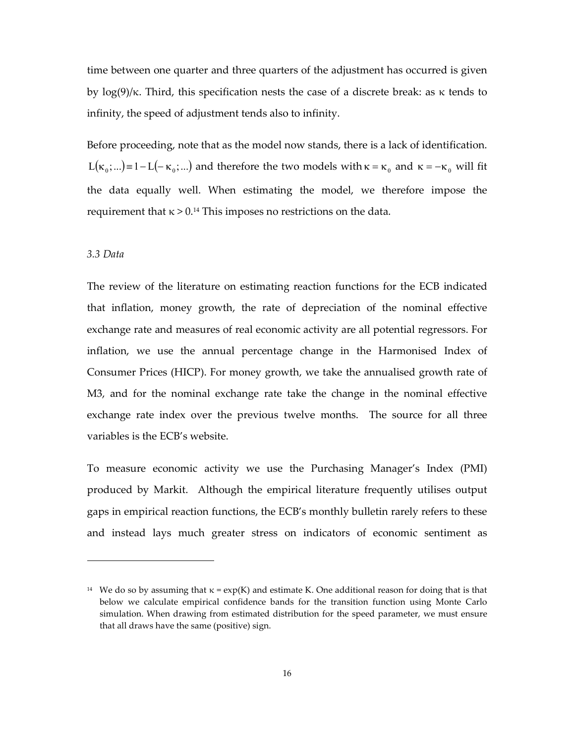time between one quarter and three quarters of the adjustment has occurred is given by  $log(9)/\kappa$ . Third, this specification nests the case of a discrete break: as κ tends to infinity, the speed of adjustment tends also to infinity.

Before proceeding, note that as the model now stands, there is a lack of identification.  $L(\kappa_0; ...)=1-L(-\kappa_0; ...)$  and therefore the two models with  $\kappa = \kappa_0$  and  $\kappa = -\kappa_0$  will fit the data equally well. When estimating the model, we therefore impose the requirement that  $\kappa > 0.14$  This imposes no restrictions on the data.

## *3.3 Data*

 $\ddot{\phantom{a}}$ 

The review of the literature on estimating reaction functions for the ECB indicated that inflation, money growth, the rate of depreciation of the nominal effective exchange rate and measures of real economic activity are all potential regressors. For inflation, we use the annual percentage change in the Harmonised Index of Consumer Prices (HICP). For money growth, we take the annualised growth rate of M3, and for the nominal exchange rate take the change in the nominal effective exchange rate index over the previous twelve months. The source for all three variables is the ECB's website.

To measure economic activity we use the Purchasing Manager's Index (PMI) produced by Markit. Although the empirical literature frequently utilises output gaps in empirical reaction functions, the ECB's monthly bulletin rarely refers to these and instead lays much greater stress on indicators of economic sentiment as

<sup>&</sup>lt;sup>14</sup> We do so by assuming that  $\kappa = \exp(K)$  and estimate K. One additional reason for doing that is that below we calculate empirical confidence bands for the transition function using Monte Carlo simulation. When drawing from estimated distribution for the speed parameter, we must ensure that all draws have the same (positive) sign.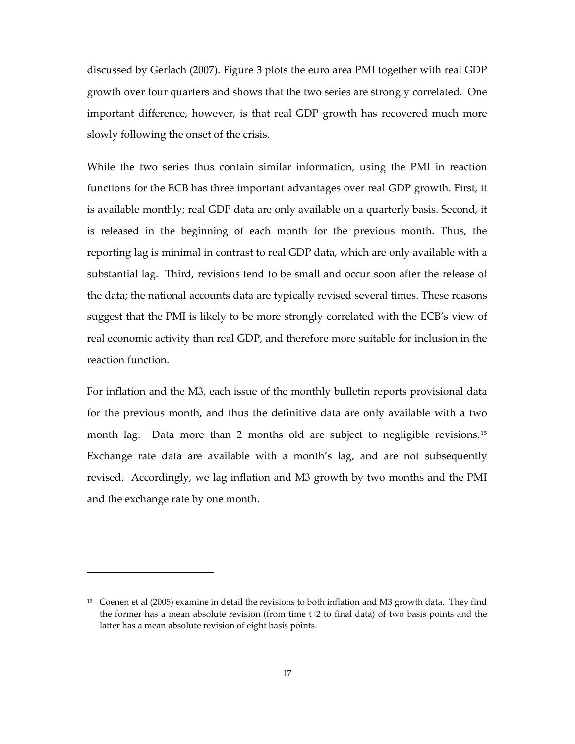discussed by Gerlach (2007). Figure 3 plots the euro area PMI together with real GDP growth over four quarters and shows that the two series are strongly correlated. One important difference, however, is that real GDP growth has recovered much more slowly following the onset of the crisis.

While the two series thus contain similar information, using the PMI in reaction functions for the ECB has three important advantages over real GDP growth. First, it is available monthly; real GDP data are only available on a quarterly basis. Second, it is released in the beginning of each month for the previous month. Thus, the reporting lag is minimal in contrast to real GDP data, which are only available with a substantial lag. Third, revisions tend to be small and occur soon after the release of the data; the national accounts data are typically revised several times. These reasons suggest that the PMI is likely to be more strongly correlated with the ECB's view of real economic activity than real GDP, and therefore more suitable for inclusion in the reaction function.

For inflation and the M3, each issue of the monthly bulletin reports provisional data for the previous month, and thus the definitive data are only available with a two month lag. Data more than 2 months old are subject to negligible revisions. <sup>15</sup> Exchange rate data are available with a month's lag, and are not subsequently revised. Accordingly, we lag inflation and M3 growth by two months and the PMI and the exchange rate by one month.

<sup>15</sup> Coenen et al (2005) examine in detail the revisions to both inflation and M3 growth data. They find the former has a mean absolute revision (from time t+2 to final data) of two basis points and the latter has a mean absolute revision of eight basis points.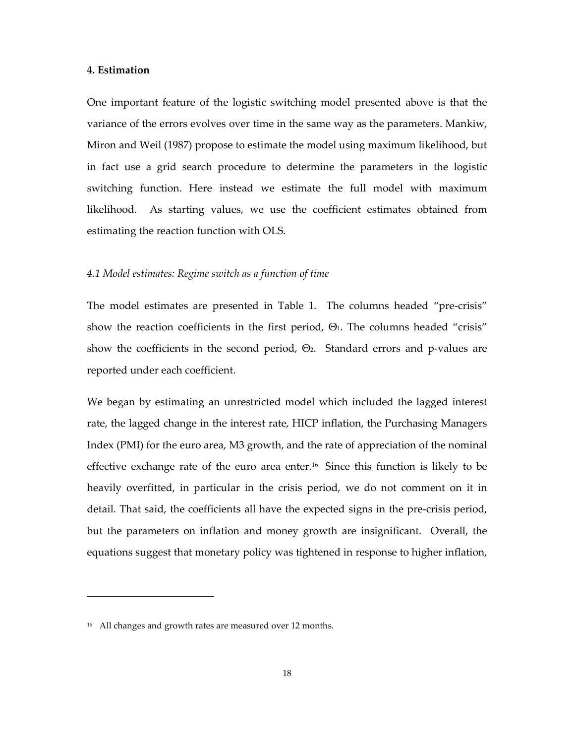### **4. Estimation**

One important feature of the logistic switching model presented above is that the variance of the errors evolves over time in the same way as the parameters. Mankiw, Miron and Weil (1987) propose to estimate the model using maximum likelihood, but in fact use a grid search procedure to determine the parameters in the logistic switching function. Here instead we estimate the full model with maximum likelihood. As starting values, we use the coefficient estimates obtained from estimating the reaction function with OLS.

## *4.1 Model estimates: Regime switch as a function of time*

The model estimates are presented in Table 1. The columns headed "pre-crisis" show the reaction coefficients in the first period,  $\Theta$ <sub>1</sub>. The columns headed "crisis" show the coefficients in the second period,  $\Theta$ <sub>2</sub>. Standard errors and p-values are reported under each coefficient.

We began by estimating an unrestricted model which included the lagged interest rate, the lagged change in the interest rate, HICP inflation, the Purchasing Managers Index (PMI) for the euro area, M3 growth, and the rate of appreciation of the nominal effective exchange rate of the euro area enter.<sup>16</sup> Since this function is likely to be heavily overfitted, in particular in the crisis period, we do not comment on it in detail. That said, the coefficients all have the expected signs in the pre-crisis period, but the parameters on inflation and money growth are insignificant. Overall, the equations suggest that monetary policy was tightened in response to higher inflation,

<sup>16</sup> All changes and growth rates are measured over 12 months.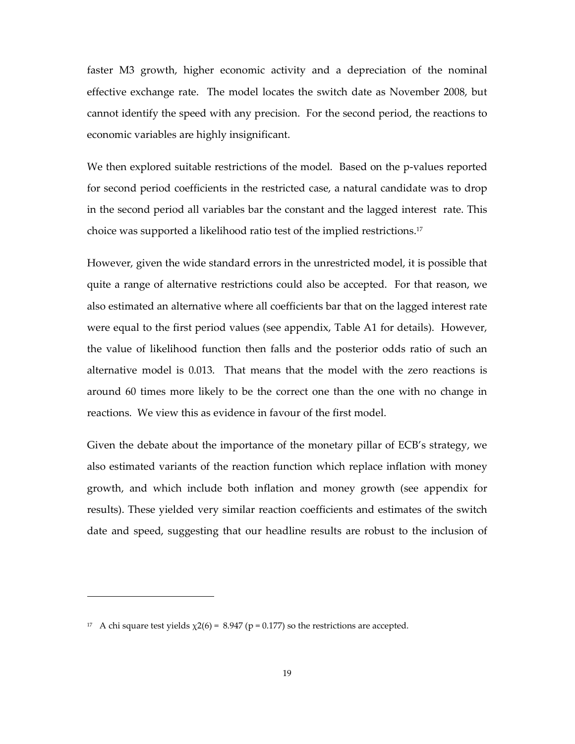faster M3 growth, higher economic activity and a depreciation of the nominal effective exchange rate. The model locates the switch date as November 2008, but cannot identify the speed with any precision. For the second period, the reactions to economic variables are highly insignificant.

We then explored suitable restrictions of the model. Based on the p-values reported for second period coefficients in the restricted case, a natural candidate was to drop in the second period all variables bar the constant and the lagged interest rate. This choice was supported a likelihood ratio test of the implied restrictions.<sup>17</sup>

However, given the wide standard errors in the unrestricted model, it is possible that quite a range of alternative restrictions could also be accepted. For that reason, we also estimated an alternative where all coefficients bar that on the lagged interest rate were equal to the first period values (see appendix, Table A1 for details). However, the value of likelihood function then falls and the posterior odds ratio of such an alternative model is 0.013. That means that the model with the zero reactions is around 60 times more likely to be the correct one than the one with no change in reactions. We view this as evidence in favour of the first model.

Given the debate about the importance of the monetary pillar of ECB's strategy, we also estimated variants of the reaction function which replace inflation with money growth, and which include both inflation and money growth (see appendix for results). These yielded very similar reaction coefficients and estimates of the switch date and speed, suggesting that our headline results are robust to the inclusion of

<sup>&</sup>lt;sup>17</sup> A chi square test yields  $\chi$ 2(6) = 8.947 (p = 0.177) so the restrictions are accepted.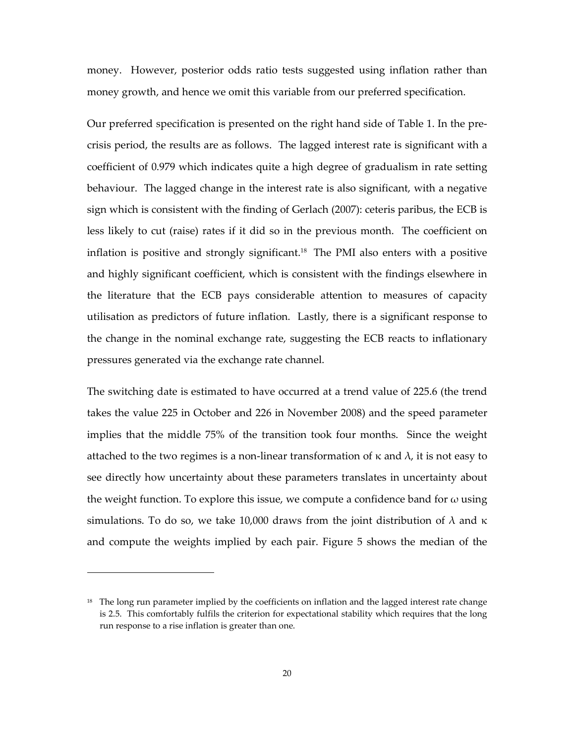money. However, posterior odds ratio tests suggested using inflation rather than money growth, and hence we omit this variable from our preferred specification.

Our preferred specification is presented on the right hand side of Table 1. In the precrisis period, the results are as follows. The lagged interest rate is significant with a coefficient of 0.979 which indicates quite a high degree of gradualism in rate setting behaviour. The lagged change in the interest rate is also significant, with a negative sign which is consistent with the finding of Gerlach (2007): ceteris paribus, the ECB is less likely to cut (raise) rates if it did so in the previous month. The coefficient on inflation is positive and strongly significant.18 The PMI also enters with a positive and highly significant coefficient, which is consistent with the findings elsewhere in the literature that the ECB pays considerable attention to measures of capacity utilisation as predictors of future inflation. Lastly, there is a significant response to the change in the nominal exchange rate, suggesting the ECB reacts to inflationary pressures generated via the exchange rate channel.

The switching date is estimated to have occurred at a trend value of 225.6 (the trend takes the value 225 in October and 226 in November 2008) and the speed parameter implies that the middle 75% of the transition took four months. Since the weight attached to the two regimes is a non-linear transformation of  $\kappa$  and  $\lambda$ , it is not easy to see directly how uncertainty about these parameters translates in uncertainty about the weight function. To explore this issue, we compute a confidence band for  $\omega$  using simulations. To do so, we take 10,000 draws from the joint distribution of  $\lambda$  and  $\kappa$ and compute the weights implied by each pair. Figure 5 shows the median of the

<sup>&</sup>lt;sup>18</sup> The long run parameter implied by the coefficients on inflation and the lagged interest rate change is 2.5. This comfortably fulfils the criterion for expectational stability which requires that the long run response to a rise inflation is greater than one.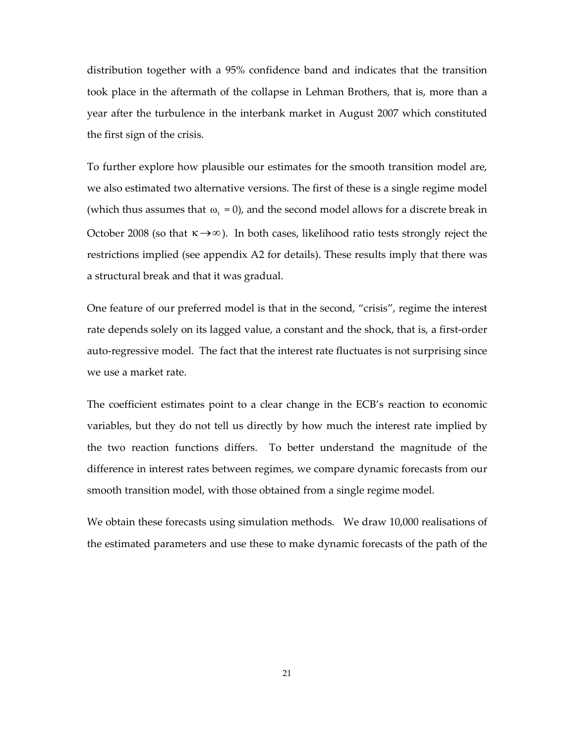distribution together with a 95% confidence band and indicates that the transition took place in the aftermath of the collapse in Lehman Brothers, that is, more than a year after the turbulence in the interbank market in August 2007 which constituted the first sign of the crisis.

To further explore how plausible our estimates for the smooth transition model are, we also estimated two alternative versions. The first of these is a single regime model (which thus assumes that  $\omega_t = 0$ ), and the second model allows for a discrete break in October 2008 (so that  $\kappa \rightarrow \infty$ ). In both cases, likelihood ratio tests strongly reject the restrictions implied (see appendix A2 for details). These results imply that there was a structural break and that it was gradual.

One feature of our preferred model is that in the second, "crisis", regime the interest rate depends solely on its lagged value, a constant and the shock, that is, a first-order auto-regressive model. The fact that the interest rate fluctuates is not surprising since we use a market rate.

The coefficient estimates point to a clear change in the ECB's reaction to economic variables, but they do not tell us directly by how much the interest rate implied by the two reaction functions differs. To better understand the magnitude of the difference in interest rates between regimes, we compare dynamic forecasts from our smooth transition model, with those obtained from a single regime model.

We obtain these forecasts using simulation methods. We draw 10,000 realisations of the estimated parameters and use these to make dynamic forecasts of the path of the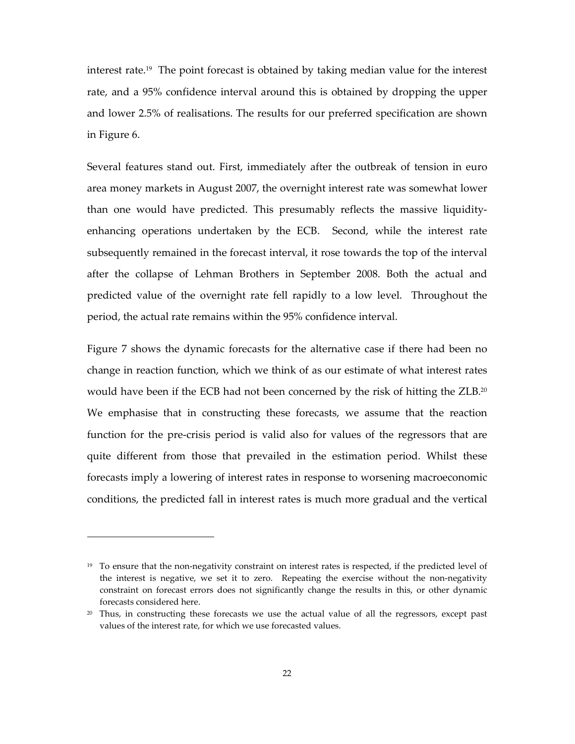interest rate.19 The point forecast is obtained by taking median value for the interest rate, and a 95% confidence interval around this is obtained by dropping the upper and lower 2.5% of realisations. The results for our preferred specification are shown in Figure 6.

Several features stand out. First, immediately after the outbreak of tension in euro area money markets in August 2007, the overnight interest rate was somewhat lower than one would have predicted. This presumably reflects the massive liquidityenhancing operations undertaken by the ECB. Second, while the interest rate subsequently remained in the forecast interval, it rose towards the top of the interval after the collapse of Lehman Brothers in September 2008. Both the actual and predicted value of the overnight rate fell rapidly to a low level. Throughout the period, the actual rate remains within the 95% confidence interval.

Figure 7 shows the dynamic forecasts for the alternative case if there had been no change in reaction function, which we think of as our estimate of what interest rates would have been if the ECB had not been concerned by the risk of hitting the ZLB.<sup>20</sup> We emphasise that in constructing these forecasts, we assume that the reaction function for the pre-crisis period is valid also for values of the regressors that are quite different from those that prevailed in the estimation period. Whilst these forecasts imply a lowering of interest rates in response to worsening macroeconomic conditions, the predicted fall in interest rates is much more gradual and the vertical

<sup>&</sup>lt;sup>19</sup> To ensure that the non-negativity constraint on interest rates is respected, if the predicted level of the interest is negative, we set it to zero. Repeating the exercise without the non-negativity constraint on forecast errors does not significantly change the results in this, or other dynamic forecasts considered here.

<sup>&</sup>lt;sup>20</sup> Thus, in constructing these forecasts we use the actual value of all the regressors, except past values of the interest rate, for which we use forecasted values.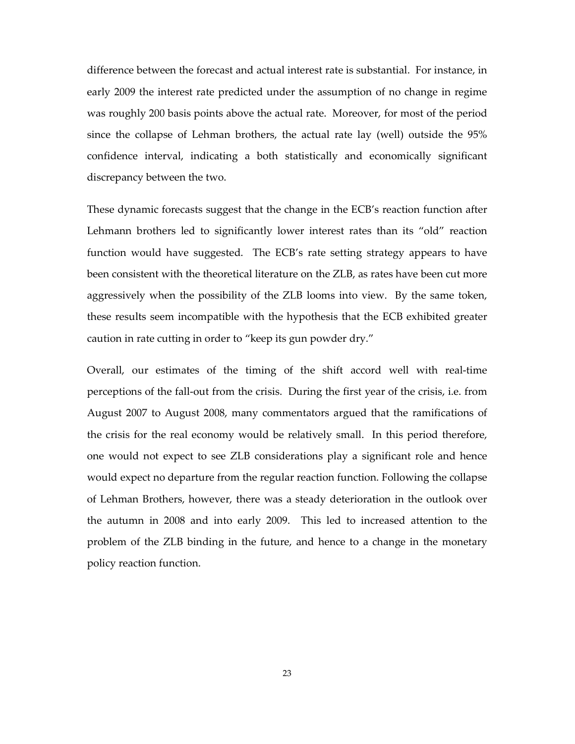difference between the forecast and actual interest rate is substantial. For instance, in early 2009 the interest rate predicted under the assumption of no change in regime was roughly 200 basis points above the actual rate. Moreover, for most of the period since the collapse of Lehman brothers, the actual rate lay (well) outside the 95% confidence interval, indicating a both statistically and economically significant discrepancy between the two.

These dynamic forecasts suggest that the change in the ECB's reaction function after Lehmann brothers led to significantly lower interest rates than its "old" reaction function would have suggested. The ECB's rate setting strategy appears to have been consistent with the theoretical literature on the ZLB, as rates have been cut more aggressively when the possibility of the ZLB looms into view. By the same token, these results seem incompatible with the hypothesis that the ECB exhibited greater caution in rate cutting in order to "keep its gun powder dry."

Overall, our estimates of the timing of the shift accord well with real-time perceptions of the fall-out from the crisis. During the first year of the crisis, i.e. from August 2007 to August 2008, many commentators argued that the ramifications of the crisis for the real economy would be relatively small. In this period therefore, one would not expect to see ZLB considerations play a significant role and hence would expect no departure from the regular reaction function. Following the collapse of Lehman Brothers, however, there was a steady deterioration in the outlook over the autumn in 2008 and into early 2009. This led to increased attention to the problem of the ZLB binding in the future, and hence to a change in the monetary policy reaction function.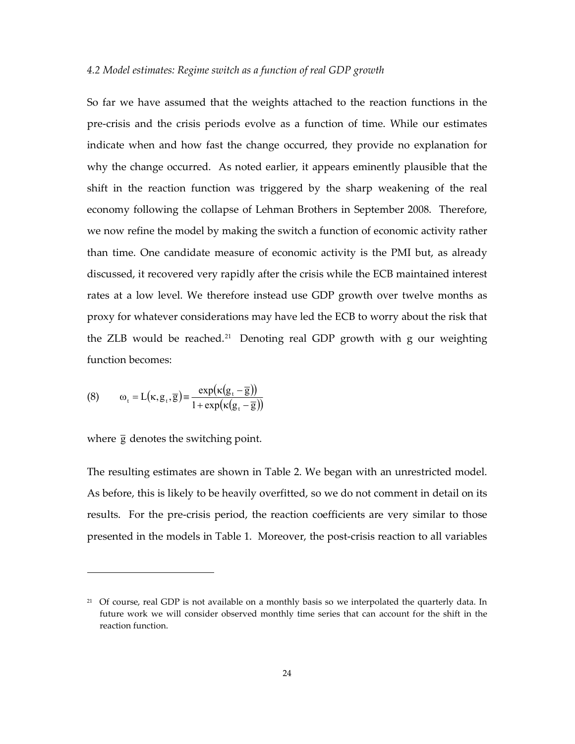## *4.2 Model estimates: Regime switch as a function of real GDP growth*

So far we have assumed that the weights attached to the reaction functions in the pre-crisis and the crisis periods evolve as a function of time. While our estimates indicate when and how fast the change occurred, they provide no explanation for why the change occurred. As noted earlier, it appears eminently plausible that the shift in the reaction function was triggered by the sharp weakening of the real economy following the collapse of Lehman Brothers in September 2008. Therefore, we now refine the model by making the switch a function of economic activity rather than time. One candidate measure of economic activity is the PMI but, as already discussed, it recovered very rapidly after the crisis while the ECB maintained interest rates at a low level. We therefore instead use GDP growth over twelve months as proxy for whatever considerations may have led the ECB to worry about the risk that the ZLB would be reached.<sup>21</sup> Denoting real GDP growth with g our weighting function becomes:

(8) 
$$
\omega_{t} = L(\kappa, g_{t}, \overline{g}) \equiv \frac{\exp(\kappa(g_{t} - \overline{g}))}{1 + \exp(\kappa(g_{t} - \overline{g}))}
$$

where  $\bar{g}$  denotes the switching point.

 $\overline{a}$ 

The resulting estimates are shown in Table 2. We began with an unrestricted model. As before, this is likely to be heavily overfitted, so we do not comment in detail on its results. For the pre-crisis period, the reaction coefficients are very similar to those presented in the models in Table 1. Moreover, the post-crisis reaction to all variables

<sup>&</sup>lt;sup>21</sup> Of course, real GDP is not available on a monthly basis so we interpolated the quarterly data. In future work we will consider observed monthly time series that can account for the shift in the reaction function.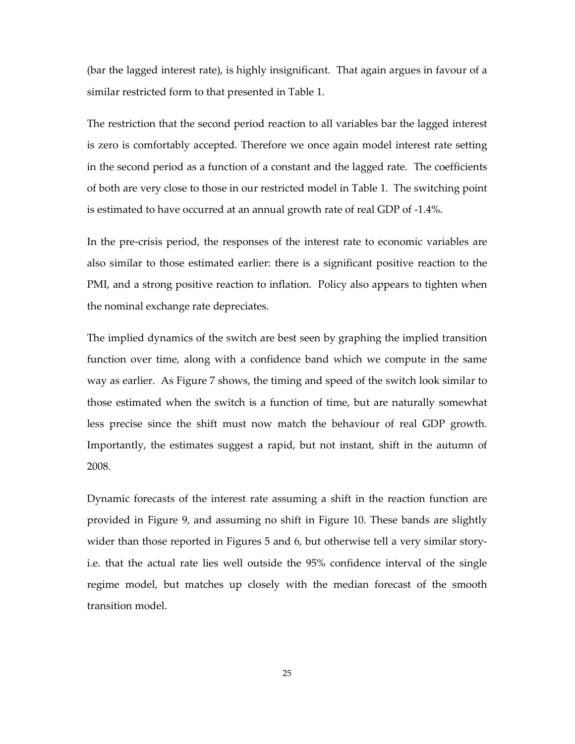(bar the lagged interest rate), is highly insignificant. That again argues in favour of a similar restricted form to that presented in Table 1.

The restriction that the second period reaction to all variables bar the lagged interest is zero is comfortably accepted. Therefore we once again model interest rate setting in the second period as a function of a constant and the lagged rate. The coefficients of both are very close to those in our restricted model in Table 1. The switching point is estimated to have occurred at an annual growth rate of real GDP of -1.4%.

In the pre-crisis period, the responses of the interest rate to economic variables are also similar to those estimated earlier: there is a significant positive reaction to the PMI, and a strong positive reaction to inflation. Policy also appears to tighten when the nominal exchange rate depreciates.

The implied dynamics of the switch are best seen by graphing the implied transition function over time, along with a confidence band which we compute in the same way as earlier. As Figure 7 shows, the timing and speed of the switch look similar to those estimated when the switch is a function of time, but are naturally somewhat less precise since the shift must now match the behaviour of real GDP growth. Importantly, the estimates suggest a rapid, but not instant, shift in the autumn of 2008.

Dynamic forecasts of the interest rate assuming a shift in the reaction function are provided in Figure 9, and assuming no shift in Figure 10. These bands are slightly wider than those reported in Figures 5 and 6, but otherwise tell a very similar storyi.e. that the actual rate lies well outside the 95% confidence interval of the single regime model, but matches up closely with the median forecast of the smooth transition model.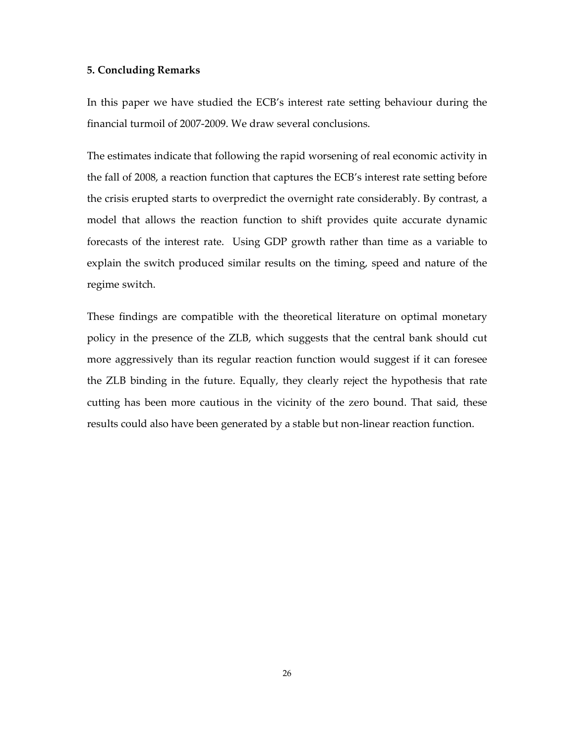## **5. Concluding Remarks**

In this paper we have studied the ECB's interest rate setting behaviour during the financial turmoil of 2007-2009. We draw several conclusions.

The estimates indicate that following the rapid worsening of real economic activity in the fall of 2008, a reaction function that captures the ECB's interest rate setting before the crisis erupted starts to overpredict the overnight rate considerably. By contrast, a model that allows the reaction function to shift provides quite accurate dynamic forecasts of the interest rate. Using GDP growth rather than time as a variable to explain the switch produced similar results on the timing, speed and nature of the regime switch.

These findings are compatible with the theoretical literature on optimal monetary policy in the presence of the ZLB, which suggests that the central bank should cut more aggressively than its regular reaction function would suggest if it can foresee the ZLB binding in the future. Equally, they clearly reject the hypothesis that rate cutting has been more cautious in the vicinity of the zero bound. That said, these results could also have been generated by a stable but non-linear reaction function.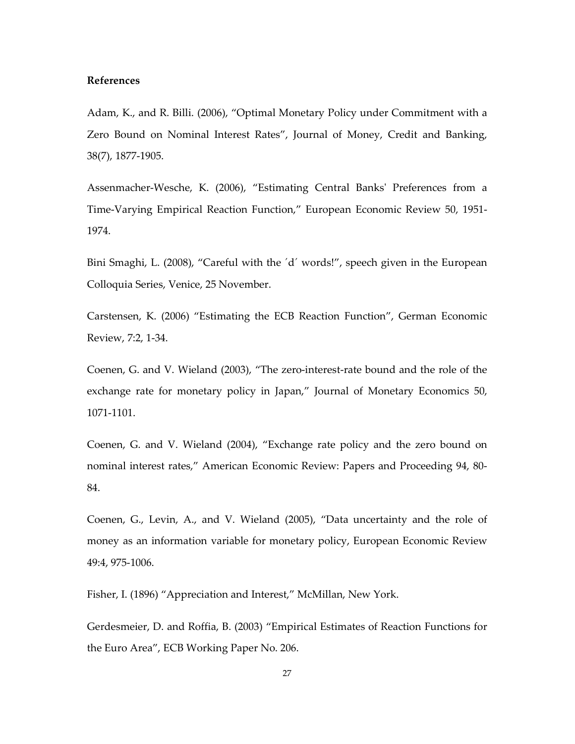## **References**

Adam, K., and R. Billi. (2006), "Optimal Monetary Policy under Commitment with a Zero Bound on Nominal Interest Rates", Journal of Money, Credit and Banking, 38(7), 1877-1905.

Assenmacher-Wesche, K. (2006), "Estimating Central Banks' Preferences from a Time-Varying Empirical Reaction Function," European Economic Review 50, 1951- 1974.

Bini Smaghi, L. (2008), "Careful with the ´d´ words!", speech given in the European Colloquia Series, Venice, 25 November.

Carstensen, K. (2006) "Estimating the ECB Reaction Function", German Economic Review, 7:2, 1-34.

Coenen, G. and V. Wieland (2003), "The zero-interest-rate bound and the role of the exchange rate for monetary policy in Japan," Journal of Monetary Economics 50, 1071-1101.

Coenen, G. and V. Wieland (2004), "Exchange rate policy and the zero bound on nominal interest rates," American Economic Review: Papers and Proceeding 94, 80- 84.

Coenen, G., Levin, A., and V. Wieland (2005), "Data uncertainty and the role of money as an information variable for monetary policy, European Economic Review 49:4, 975-1006.

Fisher, I. (1896) "Appreciation and Interest," McMillan, New York.

Gerdesmeier, D. and Roffia, B. (2003) "Empirical Estimates of Reaction Functions for the Euro Area", ECB Working Paper No. 206.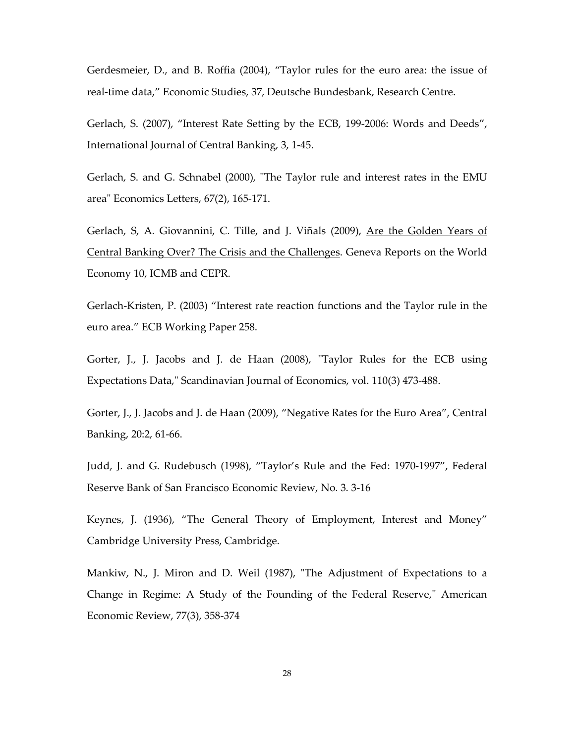Gerdesmeier, D., and B. Roffia (2004), "Taylor rules for the euro area: the issue of real-time data," Economic Studies, 37, Deutsche Bundesbank, Research Centre.

Gerlach, S. (2007), "Interest Rate Setting by the ECB, 199-2006: Words and Deeds", International Journal of Central Banking, 3, 1-45.

Gerlach, S. and G. Schnabel (2000), "The Taylor rule and interest rates in the EMU area" Economics Letters, 67(2), 165-171.

Gerlach, S, A. Giovannini, C. Tille, and J. Viñals (2009), Are the Golden Years of Central Banking Over? The Crisis and the Challenges. Geneva Reports on the World Economy 10, ICMB and CEPR.

Gerlach-Kristen, P. (2003) "Interest rate reaction functions and the Taylor rule in the euro area." ECB Working Paper 258.

Gorter, J., J. Jacobs and J. de Haan (2008), "Taylor Rules for the ECB using Expectations Data," Scandinavian Journal of Economics, vol. 110(3) 473-488.

Gorter, J., J. Jacobs and J. de Haan (2009), "Negative Rates for the Euro Area", Central Banking, 20:2, 61-66.

Judd, J. and G. Rudebusch (1998), "Taylor's Rule and the Fed: 1970-1997", Federal Reserve Bank of San Francisco Economic Review, No. 3. 3-16

Keynes, J. (1936), "The General Theory of Employment, Interest and Money" Cambridge University Press, Cambridge.

Mankiw, N., J. Miron and D. Weil (1987), "The Adjustment of Expectations to a Change in Regime: A Study of the Founding of the Federal Reserve," American Economic Review, 77(3), 358-374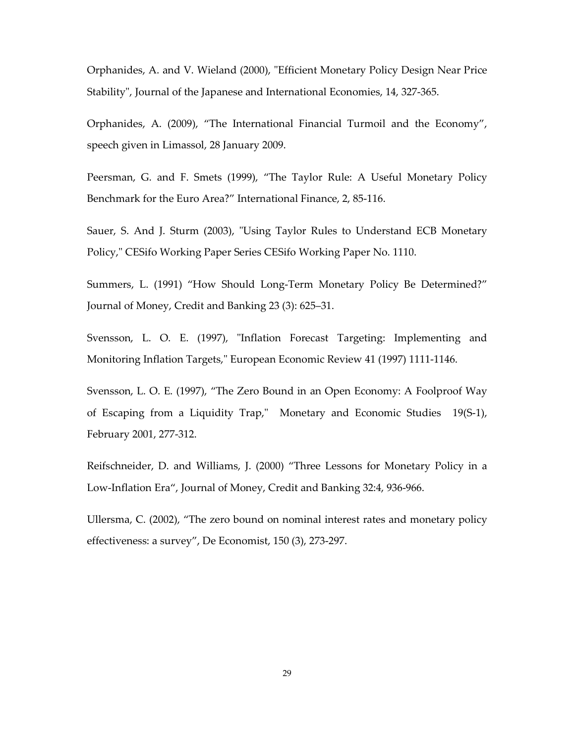Orphanides, A. and V. Wieland (2000), "Efficient Monetary Policy Design Near Price Stability", Journal of the Japanese and International Economies, 14, 327-365.

Orphanides, A. (2009), "The International Financial Turmoil and the Economy", speech given in Limassol, 28 January 2009.

Peersman, G. and F. Smets (1999), "The Taylor Rule: A Useful Monetary Policy Benchmark for the Euro Area?" International Finance, 2, 85-116.

Sauer, S. And J. Sturm (2003), "Using Taylor Rules to Understand ECB Monetary Policy," CESifo Working Paper Series CESifo Working Paper No. 1110.

Summers, L. (1991) "How Should Long-Term Monetary Policy Be Determined?" Journal of Money, Credit and Banking 23 (3): 625–31.

Svensson, L. O. E. (1997), "Inflation Forecast Targeting: Implementing and Monitoring Inflation Targets," European Economic Review 41 (1997) 1111-1146.

Svensson, L. O. E. (1997), "The Zero Bound in an Open Economy: A Foolproof Way of Escaping from a Liquidity Trap," Monetary and Economic Studies 19(S-1), February 2001, 277-312.

Reifschneider, D. and Williams, J. (2000) "Three Lessons for Monetary Policy in a Low-Inflation Era", Journal of Money, Credit and Banking 32:4, 936-966.

Ullersma, C. (2002), "The zero bound on nominal interest rates and monetary policy effectiveness: a survey", De Economist, 150 (3), 273-297.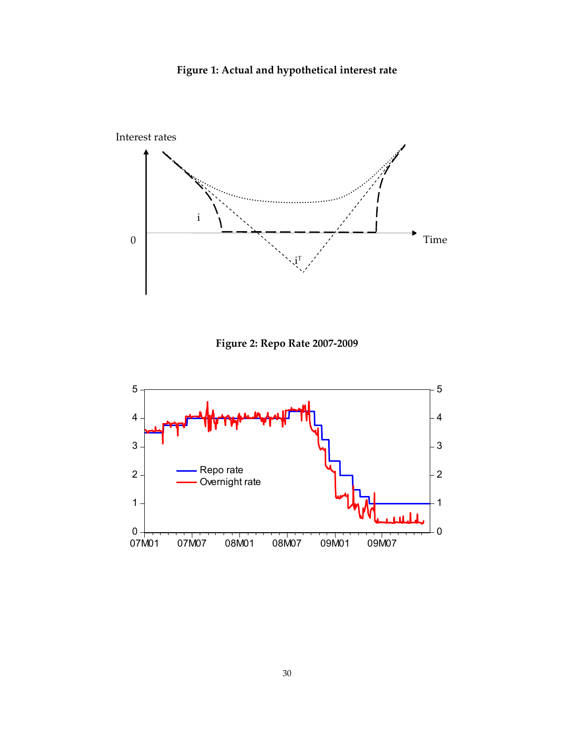**Figure 1: Actual and hypothetical interest rate** 



**Figure 2: Repo Rate 2007-2009** 

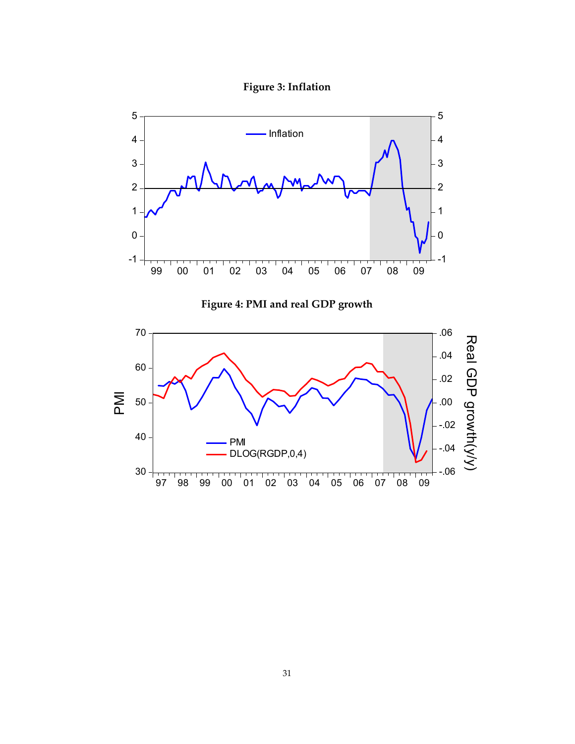**Figure 3: Inflation** 

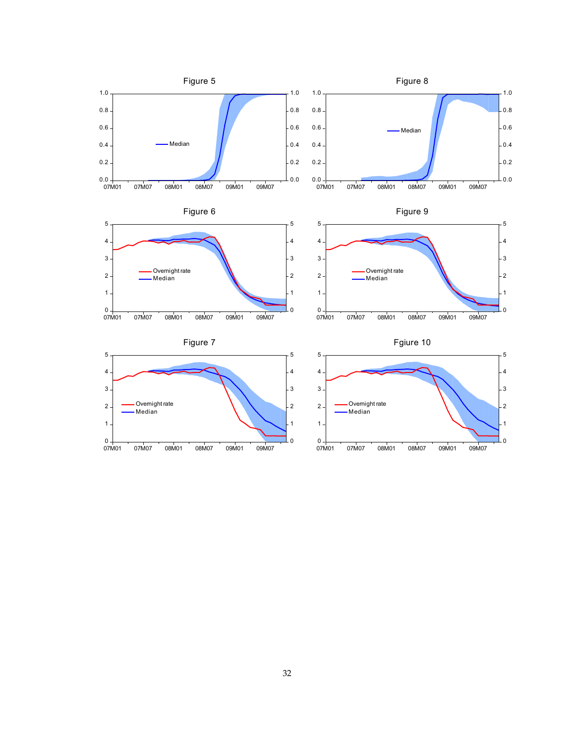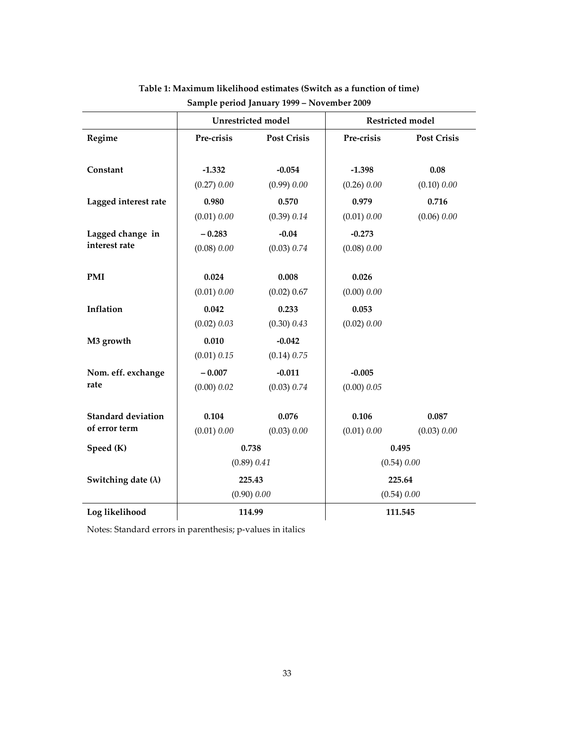|                            |             | <b>Unrestricted</b> model | <b>Restricted model</b> |                    |  |
|----------------------------|-------------|---------------------------|-------------------------|--------------------|--|
| Regime                     | Pre-crisis  | <b>Post Crisis</b>        | Pre-crisis              | <b>Post Crisis</b> |  |
| Constant                   | $-1.332$    | $-0.054$                  | $-1.398$                | 0.08               |  |
|                            | (0.27) 0.00 | (0.99) 0.00               | (0.26) 0.00             | (0.10) 0.00        |  |
| Lagged interest rate       | 0.980       | 0.570                     | 0.979                   | 0.716              |  |
|                            | (0.01) 0.00 | (0.39) 0.14               | (0.01) 0.00             | (0.06) 0.00        |  |
| Lagged change in           | $-0.283$    | $-0.04$                   | $-0.273$                |                    |  |
| interest rate              | (0.08) 0.00 | (0.03) 0.74               | (0.08) 0.00             |                    |  |
| <b>PMI</b>                 | 0.024       | 0.008                     | 0.026                   |                    |  |
|                            | (0.01) 0.00 | (0.02) 0.67               | (0.00) 0.00             |                    |  |
| Inflation                  | 0.042       | 0.233                     | 0.053                   |                    |  |
|                            | (0.02) 0.03 | (0.30) 0.43               | (0.02) 0.00             |                    |  |
| M3 growth                  | 0.010       | $-0.042$                  |                         |                    |  |
|                            | (0.01) 0.15 | (0.14) 0.75               |                         |                    |  |
| Nom. eff. exchange         | $-0.007$    | $-0.011$                  | $-0.005$                |                    |  |
| rate                       | (0.00) 0.02 | (0.03) 0.74               | (0.00) 0.05             |                    |  |
| <b>Standard deviation</b>  | 0.104       | 0.076                     | 0.106                   | 0.087              |  |
| of error term              | (0.01) 0.00 | (0.03) 0.00               | (0.01) 0.00             | (0.03) 0.00        |  |
| Speed (K)                  |             | 0.738                     | 0.495                   |                    |  |
|                            |             | (0.89) 0.41               | (0.54) 0.00             |                    |  |
| Switching date $(\lambda)$ |             | 225.43                    | 225.64                  |                    |  |
|                            |             | (0.90) 0.00               | (0.54) 0.00             |                    |  |
| Log likelihood             |             | 114.99                    | 111.545                 |                    |  |

## **Table 1: Maximum likelihood estimates (Switch as a function of time) Sample period January 1999 – November 2009**

Notes: Standard errors in parenthesis; p-values in italics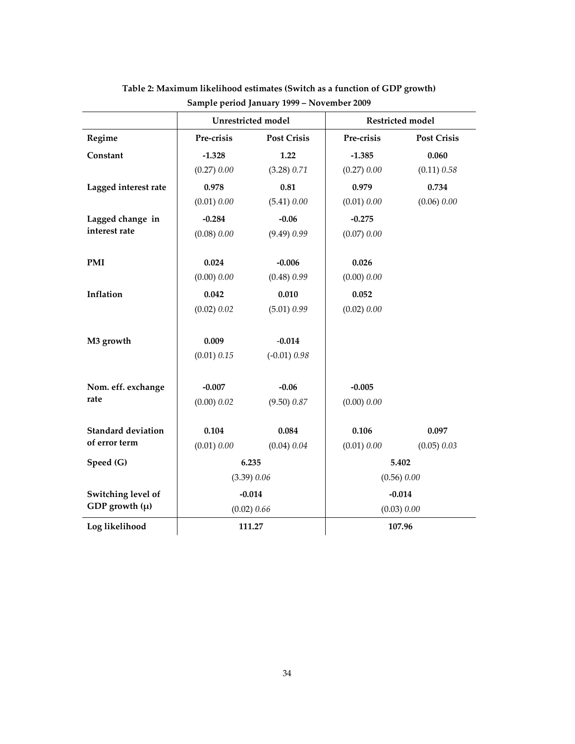|                           |             | Unrestricted model | Restricted model |                    |  |
|---------------------------|-------------|--------------------|------------------|--------------------|--|
| Regime                    | Pre-crisis  | <b>Post Crisis</b> | Pre-crisis       | <b>Post Crisis</b> |  |
| Constant                  | $-1.328$    | 1.22               | $-1.385$         | 0.060              |  |
|                           | (0.27) 0.00 | (3.28) 0.71        | (0.27) 0.00      | (0.11) 0.58        |  |
| Lagged interest rate      | 0.978       | 0.81               | 0.979            | 0.734              |  |
|                           | (0.01) 0.00 | (5.41) 0.00        | (0.01) 0.00      | (0.06) 0.00        |  |
| Lagged change in          | $-0.284$    | $-0.06$            | $-0.275$         |                    |  |
| interest rate             | (0.08) 0.00 | (9.49) 0.99        | (0.07) 0.00      |                    |  |
| <b>PMI</b>                | 0.024       | $-0.006$           | 0.026            |                    |  |
|                           | (0.00) 0.00 | (0.48) 0.99        | (0.00) 0.00      |                    |  |
| Inflation                 | 0.042       | 0.010              | 0.052            |                    |  |
|                           | (0.02) 0.02 | (5.01) 0.99        | (0.02) 0.00      |                    |  |
|                           |             |                    |                  |                    |  |
| M3 growth                 | 0.009       | $-0.014$           |                  |                    |  |
|                           | (0.01) 0.15 | $(-0.01) 0.98$     |                  |                    |  |
| Nom. eff. exchange        | $-0.007$    | $-0.06$            | $-0.005$         |                    |  |
| rate                      | (0.00) 0.02 | (9.50) 0.87        | (0.00) 0.00      |                    |  |
|                           |             |                    |                  |                    |  |
| <b>Standard deviation</b> | 0.104       | 0.084              | 0.106            | 0.097              |  |
| of error term             | (0.01) 0.00 | (0.04) 0.04        | (0.01) 0.00      | (0.05) 0.03        |  |
| Speed (G)                 | 6.235       |                    | 5.402            |                    |  |
|                           | (3.39) 0.06 |                    | (0.56) 0.00      |                    |  |
| Switching level of        |             | $-0.014$           | $-0.014$         |                    |  |
| GDP growth $(\mu)$        |             | (0.02) 0.66        | (0.03) 0.00      |                    |  |
| Log likelihood            |             | 111.27             | 107.96           |                    |  |

**Table 2: Maximum likelihood estimates (Switch as a function of GDP growth) Sample period January 1999 – November 2009**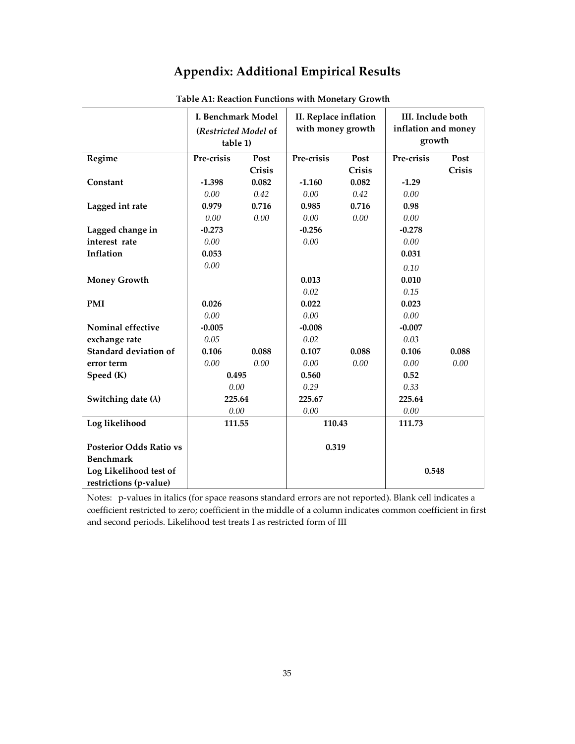# **Appendix: Additional Empirical Results**

|                                | I. Benchmark Model<br>(Restricted Model of<br>table 1) |        | II. Replace inflation<br>with money growth |        | III. Include both<br>inflation and money<br>growth |        |
|--------------------------------|--------------------------------------------------------|--------|--------------------------------------------|--------|----------------------------------------------------|--------|
| Regime                         | Pre-crisis                                             | Post   | Pre-crisis                                 | Post   | Pre-crisis                                         | Post   |
|                                |                                                        | Crisis |                                            | Crisis |                                                    | Crisis |
| Constant                       | $-1.398$                                               | 0.082  | $-1.160$                                   | 0.082  | $-1.29$                                            |        |
|                                | 0.00                                                   | 0.42   | 0.00                                       | 0.42   | 0.00                                               |        |
| Lagged int rate                | 0.979                                                  | 0.716  | 0.985                                      | 0.716  | 0.98                                               |        |
|                                | 0.00                                                   | 0.00   | 0.00                                       | 0.00   | 0.00                                               |        |
| Lagged change in               | $-0.273$                                               |        | $-0.256$                                   |        | $-0.278$                                           |        |
| interest rate                  | 0.00                                                   |        | 0.00                                       |        | $0.00\,$                                           |        |
| Inflation                      | 0.053                                                  |        |                                            |        | 0.031                                              |        |
|                                | 0.00                                                   |        |                                            |        | 0.10                                               |        |
| <b>Money Growth</b>            |                                                        |        | 0.013                                      |        | 0.010                                              |        |
|                                |                                                        |        | 0.02                                       |        | 0.15                                               |        |
| <b>PMI</b>                     | 0.026                                                  |        | 0.022                                      |        | 0.023                                              |        |
|                                | 0.00                                                   |        | 0.00                                       |        | 0.00                                               |        |
| Nominal effective              | $-0.005$                                               |        | $-0.008$                                   |        | $-0.007$                                           |        |
| exchange rate                  | 0.05                                                   |        | 0.02                                       |        | 0.03                                               |        |
| <b>Standard deviation of</b>   | 0.106                                                  | 0.088  | 0.107                                      | 0.088  | 0.106                                              | 0.088  |
| error term                     | 0.00                                                   | 0.00   | 0.00                                       | 0.00   | 0.00                                               | 0.00   |
| Speed (K)                      | 0.495                                                  |        | 0.560                                      |        | 0.52                                               |        |
|                                | 0.00                                                   |        | 0.29                                       |        | 0.33                                               |        |
| Switching date $(\lambda)$     | 225.64                                                 |        | 225.67                                     |        | 225.64                                             |        |
|                                | 0.00                                                   |        | 0.00                                       |        | 0.00                                               |        |
| Log likelihood                 | 111.55                                                 |        | 110.43                                     |        | 111.73                                             |        |
|                                |                                                        |        |                                            |        |                                                    |        |
| <b>Posterior Odds Ratio vs</b> |                                                        |        | 0.319                                      |        |                                                    |        |
| <b>Benchmark</b>               |                                                        |        |                                            |        |                                                    |        |
| Log Likelihood test of         |                                                        |        |                                            |        | 0.548                                              |        |
| restrictions (p-value)         |                                                        |        |                                            |        |                                                    |        |

**Table A1: Reaction Functions with Monetary Growth** 

Notes: p-values in italics (for space reasons standard errors are not reported). Blank cell indicates a coefficient restricted to zero; coefficient in the middle of a column indicates common coefficient in first and second periods. Likelihood test treats I as restricted form of III